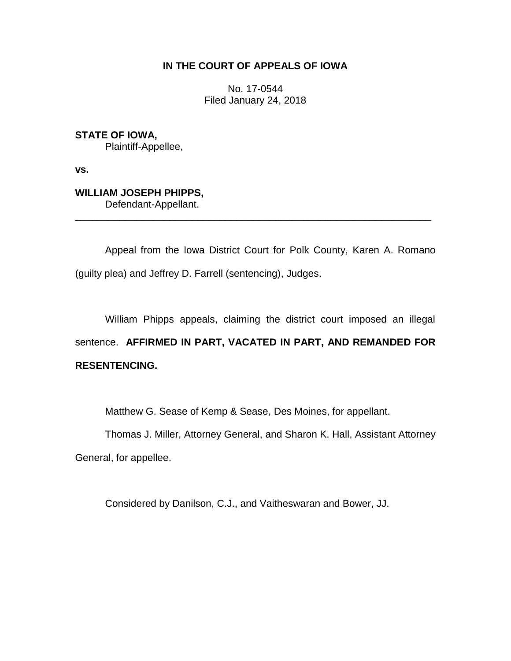## **IN THE COURT OF APPEALS OF IOWA**

No. 17-0544 Filed January 24, 2018

**STATE OF IOWA,** Plaintiff-Appellee,

**vs.**

## **WILLIAM JOSEPH PHIPPS,**

Defendant-Appellant.

Appeal from the Iowa District Court for Polk County, Karen A. Romano (guilty plea) and Jeffrey D. Farrell (sentencing), Judges.

\_\_\_\_\_\_\_\_\_\_\_\_\_\_\_\_\_\_\_\_\_\_\_\_\_\_\_\_\_\_\_\_\_\_\_\_\_\_\_\_\_\_\_\_\_\_\_\_\_\_\_\_\_\_\_\_\_\_\_\_\_\_\_\_

William Phipps appeals, claiming the district court imposed an illegal sentence. **AFFIRMED IN PART, VACATED IN PART, AND REMANDED FOR RESENTENCING.**

Matthew G. Sease of Kemp & Sease, Des Moines, for appellant.

Thomas J. Miller, Attorney General, and Sharon K. Hall, Assistant Attorney General, for appellee.

Considered by Danilson, C.J., and Vaitheswaran and Bower, JJ.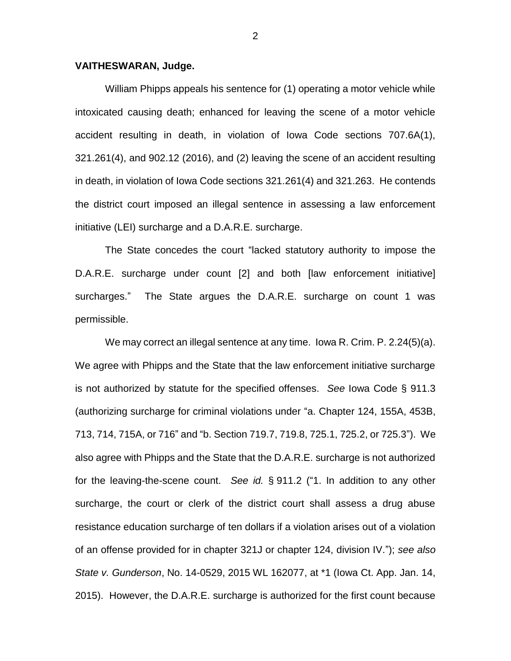## **VAITHESWARAN, Judge.**

William Phipps appeals his sentence for (1) operating a motor vehicle while intoxicated causing death; enhanced for leaving the scene of a motor vehicle accident resulting in death, in violation of Iowa Code sections 707.6A(1), 321.261(4), and 902.12 (2016), and (2) leaving the scene of an accident resulting in death, in violation of Iowa Code sections 321.261(4) and 321.263. He contends the district court imposed an illegal sentence in assessing a law enforcement initiative (LEI) surcharge and a D.A.R.E. surcharge.

The State concedes the court "lacked statutory authority to impose the D.A.R.E. surcharge under count [2] and both [law enforcement initiative] surcharges." The State argues the D.A.R.E. surcharge on count 1 was permissible.

We may correct an illegal sentence at any time. Iowa R. Crim. P. 2.24(5)(a). We agree with Phipps and the State that the law enforcement initiative surcharge is not authorized by statute for the specified offenses. *See* Iowa Code § 911.3 (authorizing surcharge for criminal violations under "a. Chapter 124, 155A, 453B, 713, 714, 715A, or 716" and "b. Section 719.7, 719.8, 725.1, 725.2, or 725.3"). We also agree with Phipps and the State that the D.A.R.E. surcharge is not authorized for the leaving-the-scene count. *See id.* § 911.2 ("1. In addition to any other surcharge, the court or clerk of the district court shall assess a drug abuse resistance education surcharge of ten dollars if a violation arises out of a violation of an offense provided for in chapter 321J or chapter 124, division IV."); *see also State v. Gunderson*, No. 14-0529, 2015 WL 162077, at \*1 (Iowa Ct. App. Jan. 14, 2015). However, the D.A.R.E. surcharge is authorized for the first count because

2